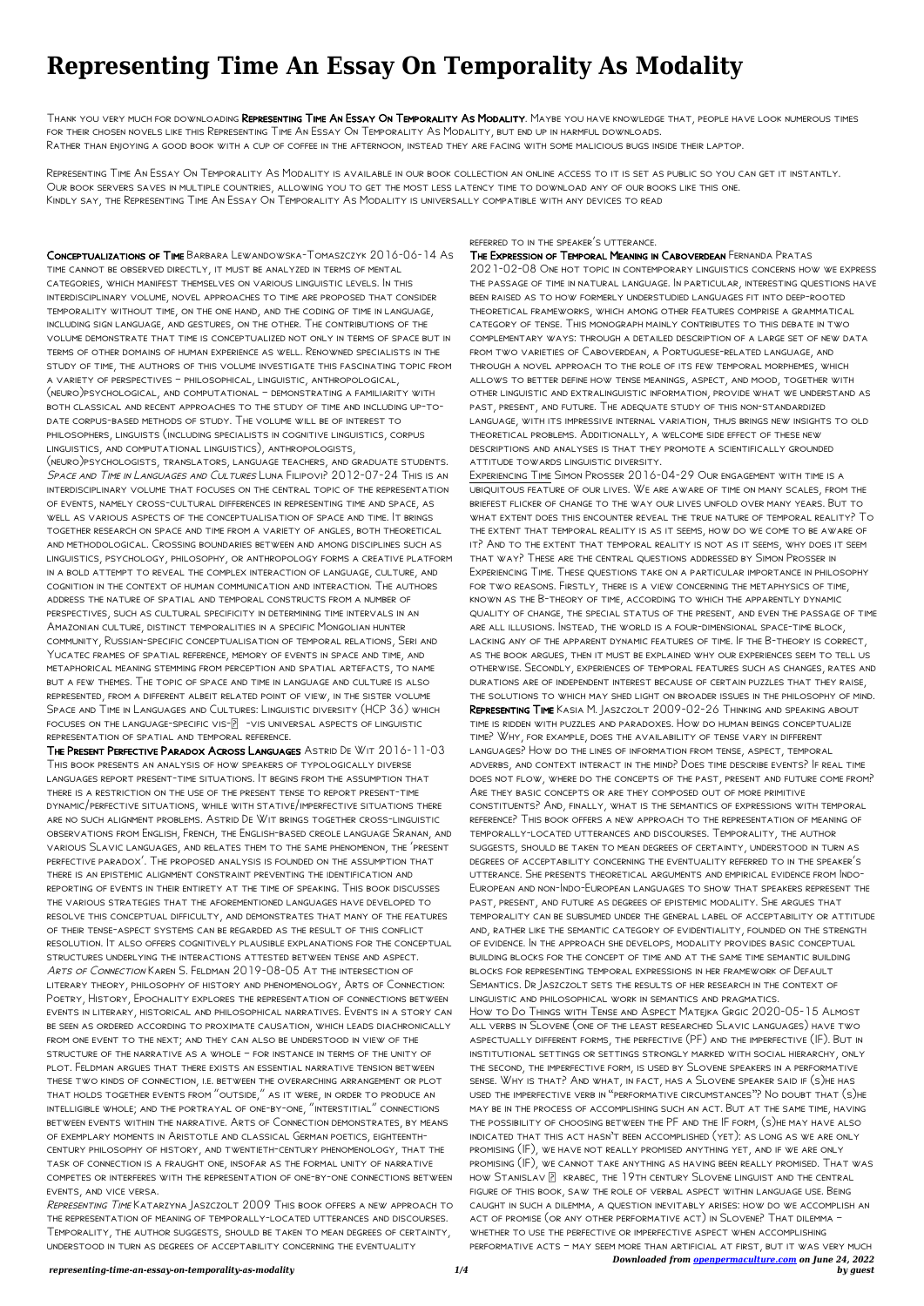## **Representing Time An Essay On Temporality As Modality**

Thank you very much for downloading Representing Time An Essay On Temporality As Modality. Maybe you have knowledge that, people have look numerous times for their chosen novels like this Representing Time An Essay On Temporality As Modality, but end up in harmful downloads. Rather than enjoying a good book with a cup of coffee in the afternoon, instead they are facing with some malicious bugs inside their laptop.

Representing Time An Essay On Temporality As Modality is available in our book collection an online access to it is set as public so you can get it instantly. Our book servers saves in multiple countries, allowing you to get the most less latency time to download any of our books like this one. Kindly say, the Representing Time An Essay On Temporality As Modality is universally compatible with any devices to read

Conceptualizations of Time Barbara Lewandowska-Tomaszczyk 2016-06-14 As time cannot be observed directly, it must be analyzed in terms of mental categories, which manifest themselves on various linguistic levels. In this interdisciplinary volume, novel approaches to time are proposed that consider temporality without time, on the one hand, and the coding of time in language, including sign language, and gestures, on the other. The contributions of the volume demonstrate that time is conceptualized not only in terms of space but in terms of other domains of human experience as well. Renowned specialists in the study of time, the authors of this volume investigate this fascinating topic from a variety of perspectives – philosophical, linguistic, anthropological, (neuro)psychological, and computational – demonstrating a familiarity with both classical and recent approaches to the study of time and including up-todate corpus-based methods of study. The volume will be of interest to philosophers, linguists (including specialists in cognitive linguistics, corpus linguistics, and computational linguistics), anthropologists,

(neuro)psychologists, translators, language teachers, and graduate students. SPACE AND TIME IN LANGUAGES AND CULTURES LUNA FILIPOVI? 2012-07-24 THIS IS AN interdisciplinary volume that focuses on the central topic of the representation of events, namely cross-cultural differences in representing time and space, as well as various aspects of the conceptualisation of space and time. It brings together research on space and time from a variety of angles, both theoretical and methodological. Crossing boundaries between and among disciplines such as linguistics, psychology, philosophy, or anthropology forms a creative platform in a bold attempt to reveal the complex interaction of language, culture, and cognition in the context of human communication and interaction. The authors address the nature of spatial and temporal constructs from a number of perspectives, such as cultural specificity in determining time intervals in an Amazonian culture, distinct temporalities in a specific Mongolian hunter community, Russian-specific conceptualisation of temporal relations, Seri and Yucatec frames of spatial reference, memory of events in space and time, and metaphorical meaning stemming from perception and spatial artefacts, to name but a few themes. The topic of space and time in language and culture is also represented, from a different albeit related point of view, in the sister volume Space and Time in Languages and Cultures: Linguistic diversity (HCP 36) which FOCUSES ON THE LANGUAGE-SPECIFIC VIS- $\boxed{?}$  -VIS UNIVERSAL ASPECTS OF LINGUISTIC representation of spatial and temporal reference.

The Present Perfective Paradox Across Languages Astrid De Wit 2016-11-03 This book presents an analysis of how speakers of typologically diverse languages report present-time situations. It begins from the assumption that there is a restriction on the use of the present tense to report present-time dynamic/perfective situations, while with stative/imperfective situations there are no such alignment problems. Astrid De Wit brings together cross-linguistic observations from English, French, the English-based creole language Sranan, and various Slavic languages, and relates them to the same phenomenon, the 'present perfective paradox'. The proposed analysis is founded on the assumption that there is an epistemic alignment constraint preventing the identification and reporting of events in their entirety at the time of speaking. This book discusses the various strategies that the aforementioned languages have developed to resolve this conceptual difficulty, and demonstrates that many of the features of their tense-aspect systems can be regarded as the result of this conflict resolution. It also offers cognitively plausible explanations for the conceptual structures underlying the interactions attested between tense and aspect. ARTS OF CONNECTION KAREN S. FELDMAN 2019-08-05 AT THE INTERSECTION OF LITERARY THEORY, PHILOSOPHY OF HISTORY AND PHENOMENOLOGY, ARTS OF CONNEC Poetry, History, Epochality explores the representation of connections between events in literary, historical and philosophical narratives. Events in a story can be seen as ordered according to proximate causation, which leads diachronically from one event to the next; and they can also be understood in view of the structure of the narrative as a whole – for instance in terms of the unity of plot. Feldman argues that there exists an essential narrative tension between these two kinds of connection, i.e. between the overarching arrangement or plot that holds together events from "outside," as it were, in order to produce an intelligible whole; and the portrayal of one-by-one, "interstitial" connections between events within the narrative. Arts of Connection demonstrates, by means of exemplary moments in Aristotle and classical German poetics, eighteenthcentury philosophy of history, and twentieth-century phenomenology, that the task of connection is a fraught one, insofar as the formal unity of narrative competes or interferes with the representation of one-by-one connections between events, and vice versa. Representing Time Katarzyna Jaszczolt 2009 This book offers a new approach to the representation of meaning of temporally-located utterances and discourses. Temporality, the author suggests, should be taken to mean degrees of certainty, understood in turn as degrees of acceptability concerning the eventuality

*Downloaded from [openpermaculture.com](http://openpermaculture.com) on June 24, 2022 by guest* Experiencing Time Simon Prosser 2016-04-29 Our engagement with time is a ubiquitous feature of our lives. We are aware of time on many scales, from the briefest flicker of change to the way our lives unfold over many years. But to what extent does this encounter reveal the true nature of temporal reality? To the extent that temporal reality is as it seems, how do we come to be aware of it? And to the extent that temporal reality is not as it seems, why does it seem that way? These are the central questions addressed by Simon Prosser in Experiencing Time. These questions take on a particular importance in philosophy for two reasons. Firstly, there is a view concerning the metaphysics of time, known as the B-theory of time, according to which the apparently dynamic quality of change, the special status of the present, and even the passage of time are all illusions. Instead, the world is a four-dimensional space-time block, lacking any of the apparent dynamic features of time. If the B-theory is correct, as the book argues, then it must be explained why our experiences seem to tell us otherwise. Secondly, experiences of temporal features such as changes, rates and durations are of independent interest because of certain puzzles that they raise, the solutions to which may shed light on broader issues in the philosophy of mind. Representing Time Kasia M. Jaszczolt 2009-02-26 Thinking and speaking about time is ridden with puzzles and paradoxes. How do human beings conceptualize time? Why, for example, does the availability of tense vary in different languages? How do the lines of information from tense, aspect, temporal adverbs, and context interact in the mind? Does time describe events? If real time does not flow, where do the concepts of the past, present and future come from? Are they basic concepts or are they composed out of more primitive constituents? And, finally, what is the semantics of expressions with temporal reference? This book offers a new approach to the representation of meaning of temporally-located utterances and discourses. Temporality, the author suggests, should be taken to mean degrees of certainty, understood in turn as degrees of acceptability concerning the eventuality referred to in the speaker's utterance. She presents theoretical arguments and empirical evidence from Indo-European and non-Indo-European languages to show that speakers represent the past, present, and future as degrees of epistemic modality. She argues that temporality can be subsumed under the general label of acceptability or attitude and, rather like the semantic category of evidentiality, founded on the strength of evidence. In the approach she develops, modality provides basic conceptual building blocks for the concept of time and at the same time semantic building blocks for representing temporal expressions in her framework of Default Semantics. Dr Jaszczolt sets the results of her research in the context of linguistic and philosophical work in semantics and pragmatics. How to Do Things with Tense and Aspect Matejka Grgic 2020-05-15 Almost all verbs in Slovene (one of the least researched Slavic languages) have two aspectually different forms, the perfective (PF) and the imperfective (IF). But in institutional settings or settings strongly marked with social hierarchy, only the second, the imperfective form, is used by Slovene speakers in a performative sense. Why is that? And what, in fact, has a Slovene speaker said if (s)he has used the imperfective verb in "performative circumstances"? No doubt that (s)he may be in the process of accomplishing such an act. But at the same time, having the possibility of choosing between the PF and the IF form, (s)he may have also indicated that this act hasn't been accomplished (yet): as long as we are only promising (IF), we have not really promised anything yet, and if we are only promising (IF), we cannot take anything as having been really promised. That was HOW STANISLAV  $\boxed{2}$  krabec, the 19th century Slovene linguist and the central figure of this book, saw the role of verbal aspect within language use. Being caught in such a dilemma, a question inevitably arises: how do we accomplish an act of promise (or any other performative act) in Slovene? That dilemma – whether to use the perfective or imperfective aspect when accomplishing performative acts – may seem more than artificial at first, but it was very much

referred to in the speaker's utterance.

## The Expression of Temporal Meaning in Caboverdean Fernanda Pratas

2021-02-08 One hot topic in contemporary linguistics concerns how we express the passage of time in natural language. In particular, interesting questions have been raised as to how formerly understudied languages fit into deep-rooted theoretical frameworks, which among other features comprise a grammatical category of tense. This monograph mainly contributes to this debate in two complementary ways: through a detailed description of a large set of new data from two varieties of Caboverdean, a Portuguese-related language, and through a novel approach to the role of its few temporal morphemes, which allows to better define how tense meanings, aspect, and mood, together with other linguistic and extralinguistic information, provide what we understand as past, present, and future. The adequate study of this non-standardized language, with its impressive internal variation, thus brings new insights to old theoretical problems. Additionally, a welcome side effect of these new descriptions and analyses is that they promote a scientifically grounded attitude towards linguistic diversity.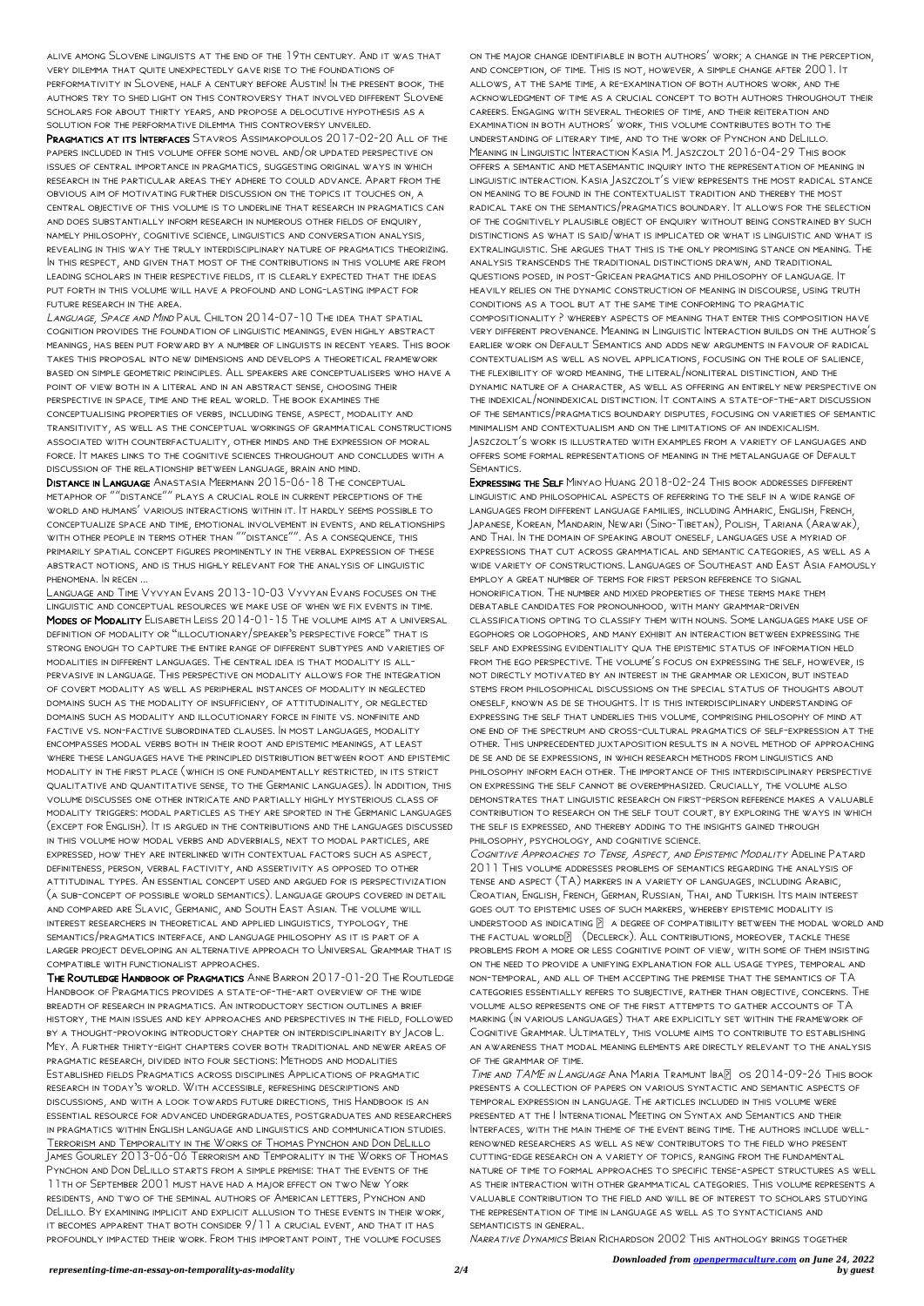alive among Slovene linguists at the end of the 19th century. And it was that very dilemma that quite unexpectedly gave rise to the foundations of performativity in Slovene, half a century before Austin! In the present book, the authors try to shed light on this controversy that involved different Slovene scholars for about thirty years, and propose a delocutive hypothesis as a solution for the performative dilemma this controversy unveiled.

Pragmatics at its Interfaces Stavros Assimakopoulos 2017-02-20 All of the papers included in this volume offer some novel and/or updated perspective on issues of central importance in pragmatics, suggesting original ways in which research in the particular areas they adhere to could advance. Apart from the obvious aim of motivating further discussion on the topics it touches on, a central objective of this volume is to underline that research in pragmatics can and does substantially inform research in numerous other fields of enquiry, namely philosophy, cognitive science, linguistics and conversation analysis, revealing in this way the truly interdisciplinary nature of pragmatics theorizing. In this respect, and given that most of the contributions in this volume are from leading scholars in their respective fields, it is clearly expected that the ideas put forth in this volume will have a profound and long-lasting impact for future research in the area.

LANGUAGE, SPACE AND MIND PAUL CHILTON 2014-07-10 THE IDEA THAT SPATIAL cognition provides the foundation of linguistic meanings, even highly abstract meanings, has been put forward by a number of linguists in recent years. This book takes this proposal into new dimensions and develops a theoretical framework based on simple geometric principles. All speakers are conceptualisers who have a point of view both in a literal and in an abstract sense, choosing their perspective in space, time and the real world. The book examines the conceptualising properties of verbs, including tense, aspect, modality and transitivity, as well as the conceptual workings of grammatical constructions associated with counterfactuality, other minds and the expression of moral force. It makes links to the cognitive sciences throughout and concludes with a discussion of the relationship between language, brain and mind.

DISTANCE IN LANGUAGE ANASTASIA MEERMANN 2015-06-18 THE CONCEPTUAL metaphor of ""distance"" plays a crucial role in current perceptions of the world and humans' various interactions within it. It hardly seems possible to conceptualize space and time, emotional involvement in events, and relationships with other people in terms other than ""distance"". As a consequence, this primarily spatial concept figures prominently in the verbal expression of these abstract notions, and is thus highly relevant for the analysis of linguistic phenomena. In recen ...

Language and Time Vyvyan Evans 2013-10-03 Vyvyan Evans focuses on the linguistic and conceptual resources we make use of when we fix events in time. Modes of Modality Elisabeth Leiss 2014-01-15 The volume aims at a universal definition of modality or "illocutionary/speaker's perspective force" that is strong enough to capture the entire range of different subtypes and varieties of modalities in different languages. The central idea is that modality is allpervasive in language. This perspective on modality allows for the integration of covert modality as well as peripheral instances of modality in neglected domains such as the modality of insufficieny, of attitudinality, or neglected domains such as modality and illocutionary force in finite vs. nonfinite and factive vs. non-factive subordinated clauses. In most languages, modality encompasses modal verbs both in their root and epistemic meanings, at least where these languages have the principled distribution between root and epistemic modality in the first place (which is one fundamentally restricted, in its strict qualitative and quantitative sense, to the Germanic languages). In addition, this volume discusses one other intricate and partially highly mysterious class of modality triggers: modal particles as they are sported in the Germanic languages (except for English). It is argued in the contributions and the languages discussed in this volume how modal verbs and adverbials, next to modal particles, are expressed, how they are interlinked with contextual factors such as aspect, definiteness, person, verbal factivity, and assertivity as opposed to other attitudinal types. An essential concept used and argued for is perspectivization (a sub-concept of possible world semantics). Language groups covered in detail and compared are Slavic, Germanic, and South East Asian. The volume will interest researchers in theoretical and applied linguistics, typology, the semantics/pragmatics interface, and language philosophy as it is part of a larger project developing an alternative approach to Universal Grammar that is compatible with functionalist approaches.

The Routledge Handbook of Pragmatics Anne Barron 2017-01-20 The Routledge

Handbook of Pragmatics provides a state-of-the-art overview of the wide breadth of research in pragmatics. An introductory section outlines a brief history, the main issues and key approaches and perspectives in the field, followed by a thought-provoking introductory chapter on interdisciplinarity by Jacob L. Mey. A further thirty-eight chapters cover both traditional and newer areas of pragmatic research, divided into four sections: Methods and modalities Established fields Pragmatics across disciplines Applications of pragmatic research in today's world. With accessible, refreshing descriptions and discussions, and with a look towards future directions, this Handbook is an essential resource for advanced undergraduates, postgraduates and researchers in pragmatics within English language and linguistics and communication studies. Terrorism and Temporality in the Works of Thomas Pynchon and Don DeLillo James Gourley 2013-06-06 Terrorism and Temporality in the Works of Thomas Pynchon and Don DeLillo starts from a simple premise: that the events of the 11th of September 2001 must have had a major effect on two New York residents, and two of the seminal authors of American letters, Pynchon and DeLillo. By examining implicit and explicit allusion to these events in their work, it becomes apparent that both consider 9/11 a crucial event, and that it has profoundly impacted their work. From this important point, the volume focuses

on the major change identifiable in both authors' work; a change in the perception, and conception, of time. This is not, however, a simple change after 2001. It allows, at the same time, a re-examination of both authors work, and the acknowledgment of time as a crucial concept to both authors throughout their careers. Engaging with several theories of time, and their reiteration and examination in both authors' work, this volume contributes both to the understanding of literary time, and to the work of Pynchon and DeLillo. Meaning in Linguistic Interaction Kasia M. Jaszczolt 2016-04-29 This book offers a semantic and metasemantic inquiry into the representation of meaning in linguistic interaction. Kasia Jaszczolt's view represents the most radical stance on meaning to be found in the contextualist tradition and thereby the most radical take on the semantics/pragmatics boundary. It allows for the selection of the cognitively plausible object of enquiry without being constrained by such distinctions as what is said/what is implicated or what is linguistic and what is extralinguistic. She argues that this is the only promising stance on meaning. The analysis transcends the traditional distinctions drawn, and traditional questions posed, in post-Gricean pragmatics and philosophy of language. It heavily relies on the dynamic construction of meaning in discourse, using truth conditions as a tool but at the same time conforming to pragmatic compositionality ? whereby aspects of meaning that enter this composition have very different provenance. Meaning in Linguistic Interaction builds on the author's earlier work on Default Semantics and adds new arguments in favour of radical contextualism as well as novel applications, focusing on the role of salience, the flexibility of word meaning, the literal/nonliteral distinction, and the dynamic nature of a character, as well as offering an entirely new perspective on the indexical/nonindexical distinction. It contains a state-of-the-art discussion of the semantics/pragmatics boundary disputes, focusing on varieties of semantic minimalism and contextualism and on the limitations of an indexicalism. Jaszczolt's work is illustrated with examples from a variety of languages and offers some formal representations of meaning in the metalanguage of Default Semantics.

Expressing the Self Minyao Huang 2018-02-24 This book addresses different linguistic and philosophical aspects of referring to the self in a wide range of languages from different language families, including Amharic, English, French, Japanese, Korean, Mandarin, Newari (Sino-Tibetan), Polish, Tariana (Arawak), and Thai. In the domain of speaking about oneself, languages use a myriad of expressions that cut across grammatical and semantic categories, as well as a wide variety of constructions. Languages of Southeast and East Asia famously employ a great number of terms for first person reference to signal honorification. The number and mixed properties of these terms make them debatable candidates for pronounhood, with many grammar-driven classifications opting to classify them with nouns. Some languages make use of egophors or logophors, and many exhibit an interaction between expressing the self and expressing evidentiality qua the epistemic status of information held from the ego perspective. The volume's focus on expressing the self, however, is not directly motivated by an interest in the grammar or lexicon, but instead stems from philosophical discussions on the special status of thoughts about oneself, known as de se thoughts. It is this interdisciplinary understanding of expressing the self that underlies this volume, comprising philosophy of mind at one end of the spectrum and cross-cultural pragmatics of self-expression at the other. This unprecedented juxtaposition results in a novel method of approaching de se and de se expressions, in which research methods from linguistics and philosophy inform each other. The importance of this interdisciplinary perspective on expressing the self cannot be overemphasized. Crucially, the volume also demonstrates that linguistic research on first-person reference makes a valuable contribution to research on the self tout court, by exploring the ways in which the self is expressed, and thereby adding to the insights gained through philosophy, psychology, and cognitive science.

Cognitive Approaches to Tense, Aspect, and Epistemic Modality Adeline Patard 2011 This volume addresses problems of semantics regarding the analysis of tense and aspect (TA) markers in a variety of languages, including Arabic, Croatian, English, French, German, Russian, Thai, and Turkish. Its main interest goes out to epistemic uses of such markers, whereby epistemic modality is UNDERSTOOD AS INDICATING  $\boxed{2}$  A DEGREE OF COMPATIBILITY BETWEEN THE MODAL WORLD AND THE FACTUAL WORLD $[$  (DECLERCK). ALL CONTRIBUTIONS, MOREOVER, TACKLE THESE problems from a more or less cognitive point of view, with some of them insisting on the need to provide a unifying explanation for all usage types, temporal and non-temporal, and all of them accepting the premise that the semantics of TA categories essentially refers to subjective, rather than objective, concerns. The volume also represents one of the first attempts to gather accounts of TA marking (in various languages) that are explicitly set within the framework of Cognitive Grammar. Ultimately, this volume aims to contribute to establishing an awareness that modal meaning elements are directly relevant to the analysis of the grammar of time. TIME AND TAME IN LANGUAGE ANA MARIA TRAMUNT BAP 0S 2014-09-26 THIS BOOK presents a collection of papers on various syntactic and semantic aspects of temporal expression in language. The articles included in this volume were presented at the I International Meeting on Syntax and Semantics and their Interfaces, with the main theme of the event being time. The authors include wellrenowned researchers as well as new contributors to the field who present cutting-edge research on a variety of topics, ranging from the fundamental nature of time to formal approaches to specific tense-aspect structures as well as their interaction with other grammatical categories. This volume represents a valuable contribution to the field and will be of interest to scholars studying the representation of time in language as well as to syntacticians and semanticists in general.

Narrative Dynamics Brian Richardson 2002 This anthology brings together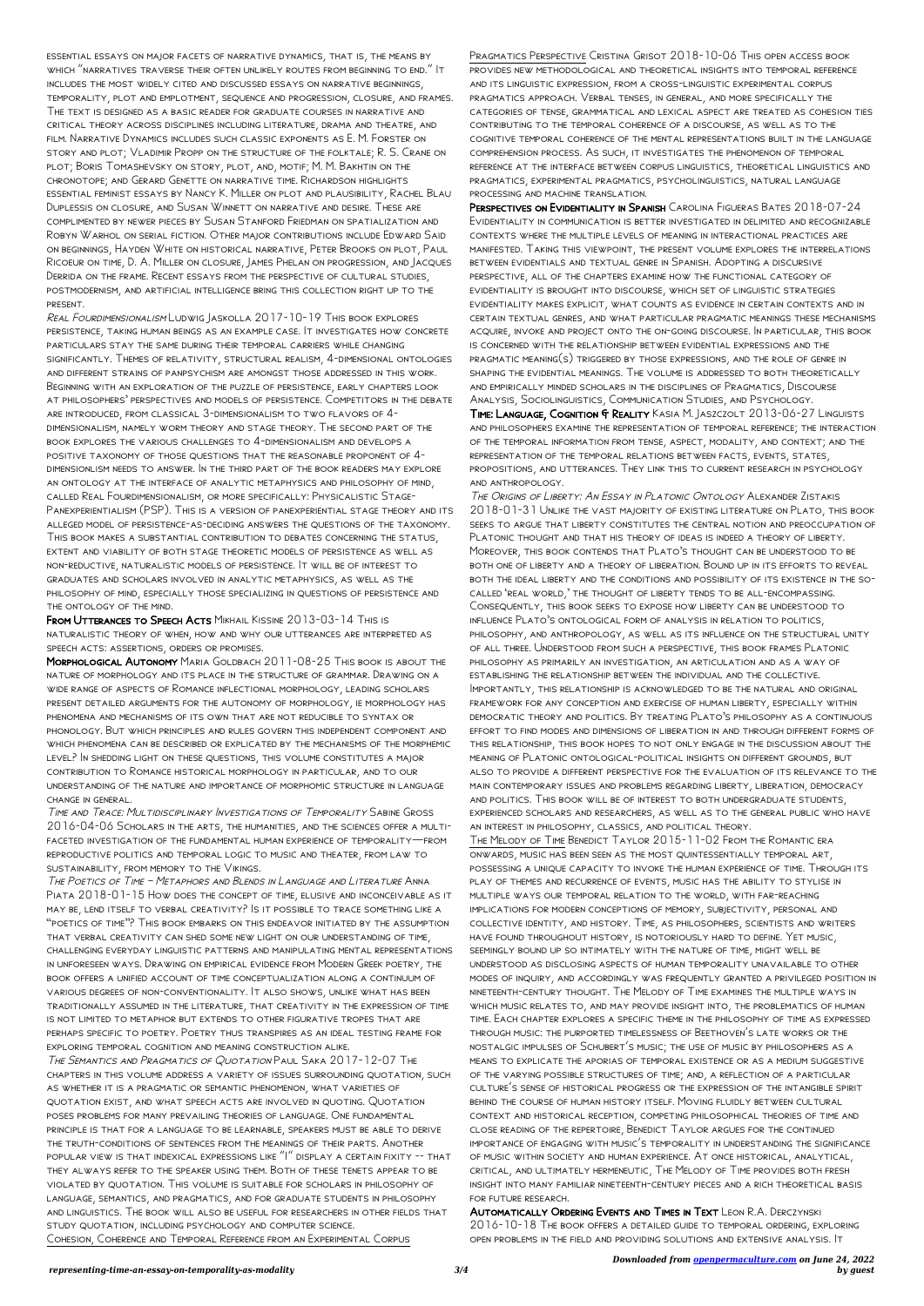essential essays on major facets of narrative dynamics, that is, the means by which "narratives traverse their often unlikely routes from beginning to end." It includes the most widely cited and discussed essays on narrative beginnings, temporality, plot and emplotment, sequence and progression, closure, and frames. The text is designed as a basic reader for graduate courses in narrative and critical theory across disciplines including literature, drama and theatre, and film. Narrative Dynamics includes such classic exponents as E. M. Forster on story and plot; Vladimir Propp on the structure of the folktale; R. S. Crane on plot; Boris Tomashevsky on story, plot, and, motif; M. M. Bakhtin on the chronotope; and Gerard Genette on narrative time. Richardson highlights essential feminist essays by Nancy K. Miller on plot and plausibility, Rachel Blau Duplessis on closure, and Susan Winnett on narrative and desire. These are complimented by newer pieces by Susan Stanford Friedman on spatialization and Robyn Warhol on serial fiction. Other major contributions include Edward Said on beginnings, Hayden White on historical narrative, Peter Brooks on plot, Paul Ricoeur on time, D. A. Miller on closure, James Phelan on progression, and Jacques Derrida on the frame. Recent essays from the perspective of cultural studies, postmodernism, and artificial intelligence bring this collection right up to the present.

FROM UTTERANCES TO SPEECH ACTS MIKHAIL KISSINE 2013-03-14 THIS IS naturalistic theory of when, how and why our utterances are interpreted as speech acts: assertions, orders or promises.

Real Fourdimensionalism Ludwig Jaskolla 2017-10-19 This book explores persistence, taking human beings as an example case. It investigates how concrete particulars stay the same during their temporal carriers while changing significantly. Themes of relativity, structural realism, 4-dimensional ontologies and different strains of panpsychism are amongst those addressed in this work. Beginning with an exploration of the puzzle of persistence, early chapters look at philosophers' perspectives and models of persistence. Competitors in the debate are introduced, from classical 3-dimensionalism to two flavors of 4 dimensionalism, namely worm theory and stage theory. The second part of the book explores the various challenges to 4-dimensionalism and develops a positive taxonomy of those questions that the reasonable proponent of 4 dimensionlism needs to answer. In the third part of the book readers may explore an ontology at the interface of analytic metaphysics and philosophy of mind, called Real Fourdimensionalism, or more specifically: Physicalistic Stage-Panexperientialism (PSP). This is a version of panexperiential stage theory and its alleged model of persistence-as-deciding answers the questions of the taxonomy. This book makes a substantial contribution to debates concerning the status, extent and viability of both stage theoretic models of persistence as well as non-reductive, naturalistic models of persistence. It will be of interest to graduates and scholars involved in analytic metaphysics, as well as the philosophy of mind, especially those specializing in questions of persistence and the ontology of the mind.

Morphological Autonomy Maria Goldbach 2011-08-25 This book is about the nature of morphology and its place in the structure of grammar. Drawing on a wide range of aspects of Romance inflectional morphology, leading scholars present detailed arguments for the autonomy of morphology, ie morphology has phenomena and mechanisms of its own that are not reducible to syntax or phonology. But which principles and rules govern this independent component and which phenomena can be described or explicated by the mechanisms of the morphemic level? In shedding light on these questions, this volume constitutes a major contribution to Romance historical morphology in particular, and to our understanding of the nature and importance of morphomic structure in language change in general.

Time and Trace: Multidisciplinary Investigations of Temporality Sabine Gross 2016-04-06 Scholars in the arts, the humanities, and the sciences offer a multifaceted investigation of the fundamental human experience of temporality—from reproductive politics and temporal logic to music and theater, from law to sustainability, from memory to the Vikings.

TIME: LANGUAGE, COGNITION & REALITY KASIA M. JASZCZOLT 2013-06-27 LINGUISTS and philosophers examine the representation of temporal reference; the interaction of the temporal information from tense, aspect, modality, and context; and the representation of the temporal relations between facts, events, states, propositions, and utterances. They link this to current research in psychology and anthropology.

The Poetics of Time – Metaphors and Blends in Language and Literature Anna Piata 2018-01-15 How does the concept of time, elusive and inconceivable as it may be, lend itself to verbal creativity? Is it possible to trace something like a "poetics of time"? This book embarks on this endeavor initiated by the assumption that verbal creativity can shed some new light on our understanding of time, challenging everyday linguistic patterns and manipulating mental representations in unforeseen ways. Drawing on empirical evidence from Modern Greek poetry, the book offers a unified account of time conceptualization along a continuum of various degrees of non-conventionality. It also shows, unlike what has been traditionally assumed in the literature, that creativity in the expression of time is not limited to metaphor but extends to other figurative tropes that are perhaps specific to poetry. Poetry thus transpires as an ideal testing frame for exploring temporal cognition and meaning construction alike. The Semantics and Pragmatics of Quotation Paul Saka 2017-12-07 The chapters in this volume address a variety of issues surrounding quotation, such as whether it is a pragmatic or semantic phenomenon, what varieties of quotation exist, and what speech acts are involved in quoting. Quotation poses problems for many prevailing theories of language. One fundamental principle is that for a language to be learnable, speakers must be able to derive the truth-conditions of sentences from the meanings of their parts. Another popular view is that indexical expressions like "I" display a certain fixity -- that they always refer to the speaker using them. Both of these tenets appear to be violated by quotation. This volume is suitable for scholars in philosophy of language, semantics, and pragmatics, and for graduate students in philosophy and linguistics. The book will also be useful for researchers in other fields that study quotation, including psychology and computer science. Cohesion, Coherence and Temporal Reference from an Experimental Corpus

Pragmatics Perspective Cristina Grisot 2018-10-06 This open access book provides new methodological and theoretical insights into temporal reference and its linguistic expression, from a cross-linguistic experimental corpus pragmatics approach. Verbal tenses, in general, and more specifically the categories of tense, grammatical and lexical aspect are treated as cohesion ties contributing to the temporal coherence of a discourse, as well as to the cognitive temporal coherence of the mental representations built in the language comprehension process. As such, it investigates the phenomenon of temporal reference at the interface between corpus linguistics, theoretical linguistics and pragmatics, experimental pragmatics, psycholinguistics, natural language processing and machine translation.

Perspectives on Evidentiality in Spanish Carolina Figueras Bates 2018-07-24 Evidentiality in communication is better investigated in delimited and recognizable contexts where the multiple levels of meaning in interactional practices are manifested. Taking this viewpoint, the present volume explores the interrelations between evidentials and textual genre in Spanish. Adopting a discursive perspective, all of the chapters examine how the functional category of evidentiality is brought into discourse, which set of linguistic strategies evidentiality makes explicit, what counts as evidence in certain contexts and in certain textual genres, and what particular pragmatic meanings these mechanisms acquire, invoke and project onto the on-going discourse. In particular, this book is concerned with the relationship between evidential expressions and the pragmatic meaning(s) triggered by those expressions, and the role of genre in shaping the evidential meanings. The volume is addressed to both theoretically and empirically minded scholars in the disciplines of Pragmatics, Discourse Analysis, Sociolinguistics, Communication Studies, and Psychology.

The Origins of Liberty: An Essay in Platonic Ontology Alexander Zistakis 2018-01-31 Unlike the vast majority of existing literature on Plato, this book seeks to argue that liberty constitutes the central notion and preoccupation of Platonic thought and that his theory of ideas is indeed a theory of liberty. Moreover, this book contends that Plato's thought can be understood to be both one of liberty and a theory of liberation. Bound up in its efforts to reveal both the ideal liberty and the conditions and possibility of its existence in the socalled 'real world,' the thought of liberty tends to be all-encompassing. Consequently, this book seeks to expose how liberty can be understood to influence Plato's ontological form of analysis in relation to politics, philosophy, and anthropology, as well as its influence on the structural unity of all three. Understood from such a perspective, this book frames Platonic philosophy as primarily an investigation, an articulation and as a way of establishing the relationship between the individual and the collective. Importantly, this relationship is acknowledged to be the natural and original framework for any conception and exercise of human liberty, especially within democratic theory and politics. By treating Plato's philosophy as a continuous effort to find modes and dimensions of liberation in and through different forms of this relationship, this book hopes to not only engage in the discussion about the meaning of Platonic ontological-political insights on different grounds, but also to provide a different perspective for the evaluation of its relevance to the main contemporary issues and problems regarding liberty, liberation, democracy and politics. This book will be of interest to both undergraduate students, experienced scholars and researchers, as well as to the general public who have an interest in philosophy, classics, and political theory.

The Melody of Time Benedict Taylor 2015-11-02 From the Romantic era onwards, music has been seen as the most quintessentially temporal art, possessing a unique capacity to invoke the human experience of time. Through its play of themes and recurrence of events, music has the ability to stylise in multiple ways our temporal relation to the world, with far-reaching implications for modern conceptions of memory, subjectivity, personal and collective identity, and history. Time, as philosophers, scientists and writers have found throughout history, is notoriously hard to define. Yet music, seemingly bound up so intimately with the nature of time, might well be understood as disclosing aspects of human temporality unavailable to other modes of inquiry, and accordingly was frequently granted a privileged position in nineteenth-century thought. The Melody of Time examines the multiple ways in which music relates to, and may provide insight into, the problematics of human time. Each chapter explores a specific theme in the philosophy of time as expressed through music: the purported timelessness of Beethoven's late works or the nostalgic impulses of Schubert's music; the use of music by philosophers as a means to explicate the aporias of temporal existence or as a medium suggestive of the varying possible structures of time; and, a reflection of a particular culture's sense of historical progress or the expression of the intangible spirit behind the course of human history itself. Moving fluidly between cultural context and historical reception, competing philosophical theories of time and close reading of the repertoire, Benedict Taylor argues for the continued importance of engaging with music's temporality in understanding the significance of music within society and human experience. At once historical, analytical, critical, and ultimately hermeneutic, The Melody of Time provides both fresh insight into many familiar nineteenth-century pieces and a rich theoretical basis for future research.

## Automatically Ordering Events and Times in Text Leon R.A. Derczynski 2016-10-18 The book offers a detailed guide to temporal ordering, exploring open problems in the field and providing solutions and extensive analysis. It